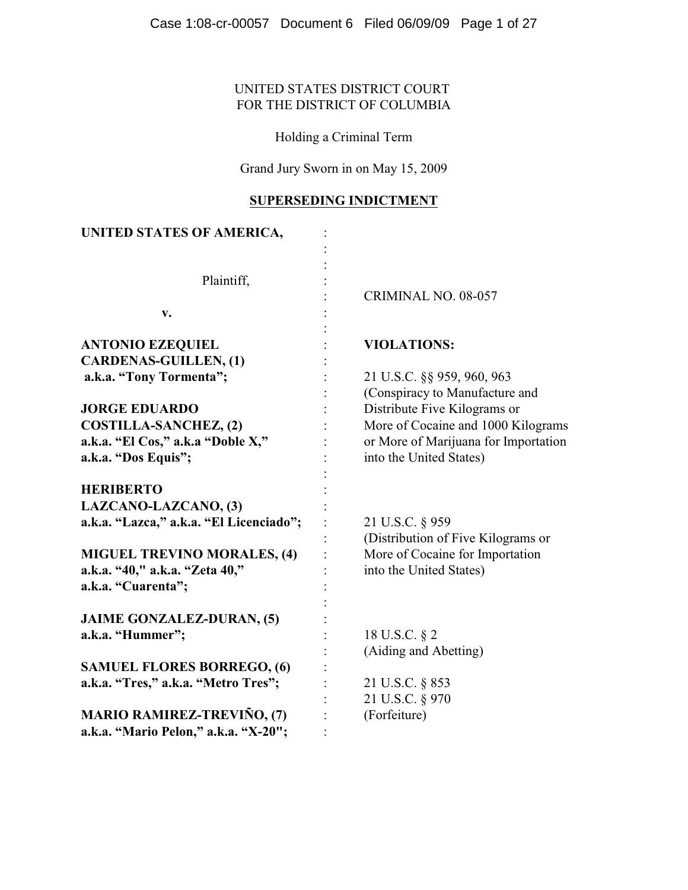## UNITED STATES DISTRICT COURT FOR THE DISTRICT OF COLUMBIA

Holding a Criminal Term

Grand Jury Sworn in on May 15, 2009

# **SUPERSEDING INDICTMENT**

| UNITED STATES OF AMERICA,               |                                                              |
|-----------------------------------------|--------------------------------------------------------------|
| Plaintiff,<br>v.                        | CRIMINAL NO. 08-057                                          |
| <b>ANTONIO EZEQUIEL</b>                 | <b>VIOLATIONS:</b>                                           |
| <b>CARDENAS-GUILLEN, (1)</b>            |                                                              |
| a.k.a. "Tony Tormenta";                 | 21 U.S.C. §§ 959, 960, 963<br>(Conspiracy to Manufacture and |
| <b>JORGE EDUARDO</b>                    | Distribute Five Kilograms or                                 |
| <b>COSTILLA-SANCHEZ, (2)</b>            | More of Cocaine and 1000 Kilograms                           |
| a.k.a. "El Cos," a.k.a "Doble X,"       | or More of Marijuana for Importation                         |
| a.k.a. "Dos Equis";                     | into the United States)                                      |
| <b>HERIBERTO</b>                        |                                                              |
| LAZCANO-LAZCANO, (3)                    |                                                              |
| a.k.a. "Lazca," a.k.a. "El Licenciado"; | 21 U.S.C. § 959<br>(Distribution of Five Kilograms or        |
| <b>MIGUEL TREVINO MORALES, (4)</b>      | More of Cocaine for Importation                              |
| a.k.a. "40," a.k.a. "Zeta 40,"          | into the United States)                                      |
| a.k.a. "Cuarenta";                      |                                                              |
| <b>JAIME GONZALEZ-DURAN, (5)</b>        |                                                              |
| a.k.a. "Hummer";                        | 18 U.S.C. § 2                                                |
|                                         | (Aiding and Abetting)                                        |
| <b>SAMUEL FLORES BORREGO, (6)</b>       |                                                              |
| a.k.a. "Tres," a.k.a. "Metro Tres";     | 21 U.S.C. § 853                                              |
|                                         | 21 U.S.C. § 970                                              |
| <b>MARIO RAMIREZ-TREVIÑO, (7)</b>       | (Forfeiture)                                                 |
| a.k.a. "Mario Pelon," a.k.a. "X-20";    |                                                              |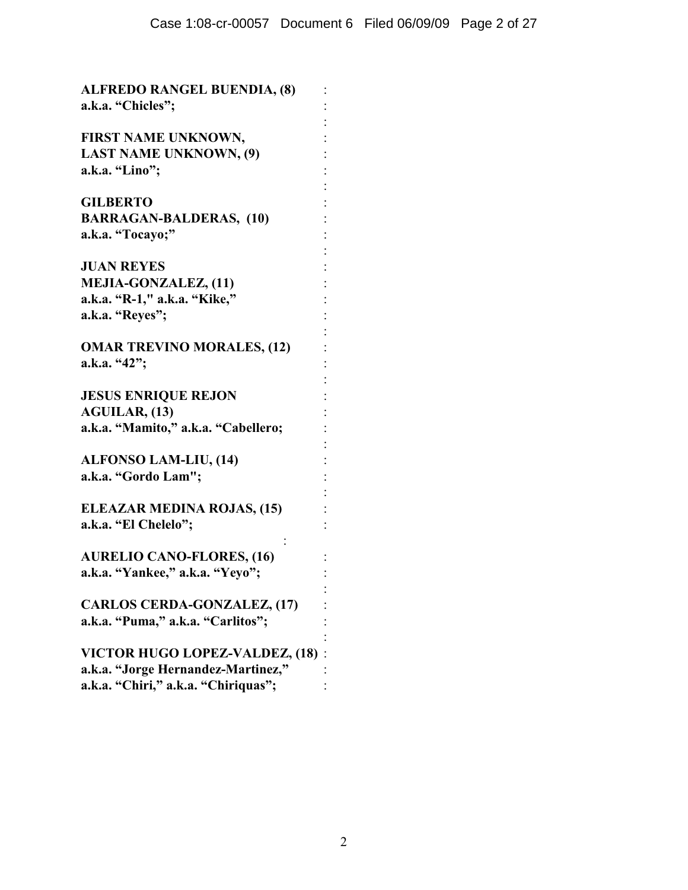| <b>ALFREDO RANGEL BUENDIA, (8)</b><br>a.k.a. "Chicles";                                                                 |  |
|-------------------------------------------------------------------------------------------------------------------------|--|
| FIRST NAME UNKNOWN,<br><b>LAST NAME UNKNOWN, (9)</b><br>a.k.a. "Lino";                                                  |  |
| <b>GILBERTO</b><br><b>BARRAGAN-BALDERAS, (10)</b><br>a.k.a. "Tocayo;"                                                   |  |
| <b>JUAN REYES</b><br>MEJIA-GONZALEZ, (11)<br>a.k.a. "R-1," a.k.a. "Kike,"<br>a.k.a. "Reyes";                            |  |
| <b>OMAR TREVINO MORALES, (12)</b><br>a.k.a. "42":                                                                       |  |
| <b>JESUS ENRIQUE REJON</b><br>AGUILAR, (13)<br>a.k.a. "Mamito," a.k.a. "Cabellero;                                      |  |
| <b>ALFONSO LAM-LIU, (14)</b><br>a.k.a. "Gordo Lam";                                                                     |  |
| ELEAZAR MEDINA ROJAS, (15)<br>a.k.a. "El Chelelo";                                                                      |  |
| <b>AURELIO CANO-FLORES, (16)</b><br>a.k.a. "Yankee," a.k.a. "Yeyo";                                                     |  |
| <b>CARLOS CERDA-GONZALEZ, (17)</b><br>a.k.a. "Puma," a.k.a. "Carlitos";                                                 |  |
| VICTOR HUGO LOPEZ-VALDEZ, (18)<br>$\vdots$<br>a.k.a. "Jorge Hernandez-Martinez,"<br>a.k.a. "Chiri," a.k.a. "Chiriquas"; |  |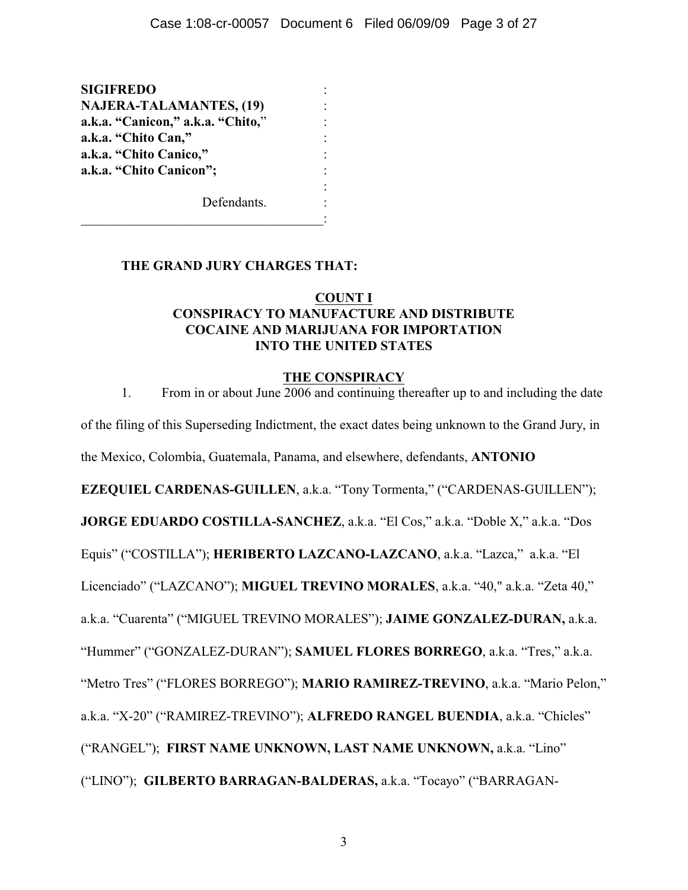**SIGIFREDO** : **NAJERA-TALAMANTES, (19)** : **a.k.a. "Canicon," a.k.a. "Chito,**" : **a.k.a. "Chito Can,"** : **a.k.a. "Chito Canico,"** : **a.k.a. "Chito Canicon";** : : Defendants.

\_\_\_\_\_\_\_\_\_\_\_\_\_\_\_\_\_\_\_\_\_\_\_\_\_\_\_\_\_\_\_\_\_\_\_\_:

## **THE GRAND JURY CHARGES THAT:**

## **COUNT I CONSPIRACY TO MANUFACTURE AND DISTRIBUTE COCAINE AND MARIJUANA FOR IMPORTATION INTO THE UNITED STATES**

### **THE CONSPIRACY**

1. From in or about June 2006 and continuing thereafter up to and including the date of the filing of this Superseding Indictment, the exact dates being unknown to the Grand Jury, in the Mexico, Colombia, Guatemala, Panama, and elsewhere, defendants, **ANTONIO EZEQUIEL CARDENAS-GUILLEN**, a.k.a. "Tony Tormenta," ("CARDENAS-GUILLEN"); **JORGE EDUARDO COSTILLA-SANCHEZ**, a.k.a. "El Cos," a.k.a. "Doble X," a.k.a. "Dos Equis" ("COSTILLA"); **HERIBERTO LAZCANO-LAZCANO**, a.k.a. "Lazca," a.k.a. "El Licenciado" ("LAZCANO"); **MIGUEL TREVINO MORALES**, a.k.a. "40," a.k.a. "Zeta 40," a.k.a. "Cuarenta" ("MIGUEL TREVINO MORALES"); **JAIME GONZALEZ-DURAN,** a.k.a. "Hummer" ("GONZALEZ-DURAN"); **SAMUEL FLORES BORREGO**, a.k.a. "Tres," a.k.a. "Metro Tres" ("FLORES BORREGO"); **MARIO RAMIREZ-TREVINO**, a.k.a. "Mario Pelon," a.k.a. "X-20" ("RAMIREZ-TREVINO"); **ALFREDO RANGEL BUENDIA**, a.k.a. "Chicles" ("RANGEL"); **FIRST NAME UNKNOWN, LAST NAME UNKNOWN,** a.k.a. "Lino" ("LINO"); **GILBERTO BARRAGAN-BALDERAS,** a.k.a. "Tocayo" ("BARRAGAN-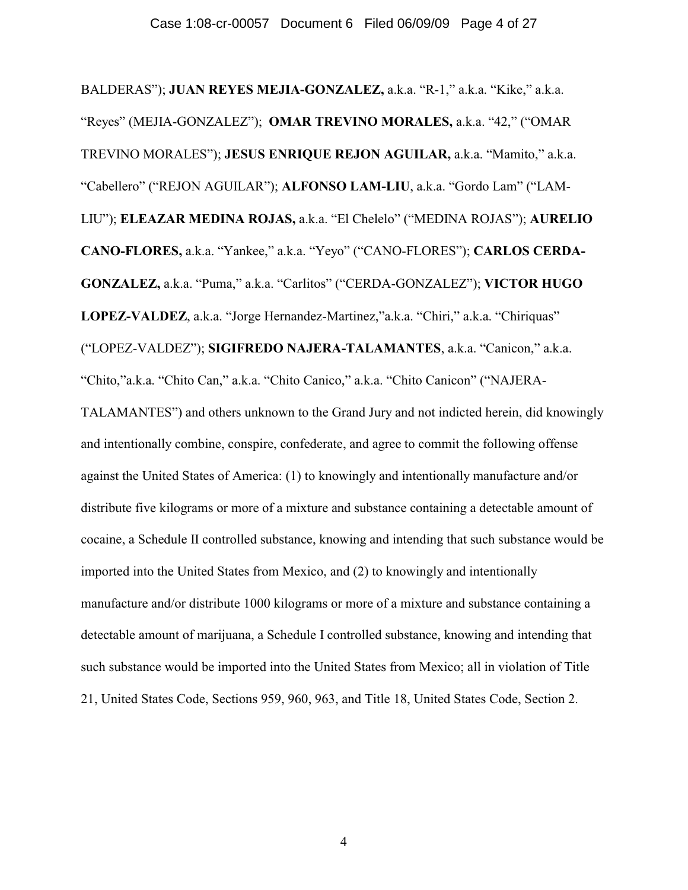BALDERAS"); **JUAN REYES MEJIA-GONZALEZ,** a.k.a. "R-1," a.k.a. "Kike," a.k.a. "Reyes" (MEJIA-GONZALEZ"); **OMAR TREVINO MORALES,** a.k.a. "42," ("OMAR TREVINO MORALES"); **JESUS ENRIQUE REJON AGUILAR,** a.k.a. "Mamito," a.k.a. "Cabellero" ("REJON AGUILAR"); **ALFONSO LAM-LIU**, a.k.a. "Gordo Lam" ("LAM-LIU"); **ELEAZAR MEDINA ROJAS,** a.k.a. "El Chelelo" ("MEDINA ROJAS"); **AURELIO CANO-FLORES,** a.k.a. "Yankee," a.k.a. "Yeyo" ("CANO-FLORES"); **CARLOS CERDA-GONZALEZ,** a.k.a. "Puma," a.k.a. "Carlitos" ("CERDA-GONZALEZ"); **VICTOR HUGO LOPEZ-VALDEZ**, a.k.a. "Jorge Hernandez-Martinez,"a.k.a. "Chiri," a.k.a. "Chiriquas" ("LOPEZ-VALDEZ"); **SIGIFREDO NAJERA-TALAMANTES**, a.k.a. "Canicon," a.k.a. "Chito,"a.k.a. "Chito Can," a.k.a. "Chito Canico," a.k.a. "Chito Canicon" ("NAJERA-TALAMANTES") and others unknown to the Grand Jury and not indicted herein, did knowingly and intentionally combine, conspire, confederate, and agree to commit the following offense against the United States of America: (1) to knowingly and intentionally manufacture and/or distribute five kilograms or more of a mixture and substance containing a detectable amount of cocaine, a Schedule II controlled substance, knowing and intending that such substance would be imported into the United States from Mexico, and (2) to knowingly and intentionally manufacture and/or distribute 1000 kilograms or more of a mixture and substance containing a detectable amount of marijuana, a Schedule I controlled substance, knowing and intending that such substance would be imported into the United States from Mexico; all in violation of Title 21, United States Code, Sections 959, 960, 963, and Title 18, United States Code, Section 2.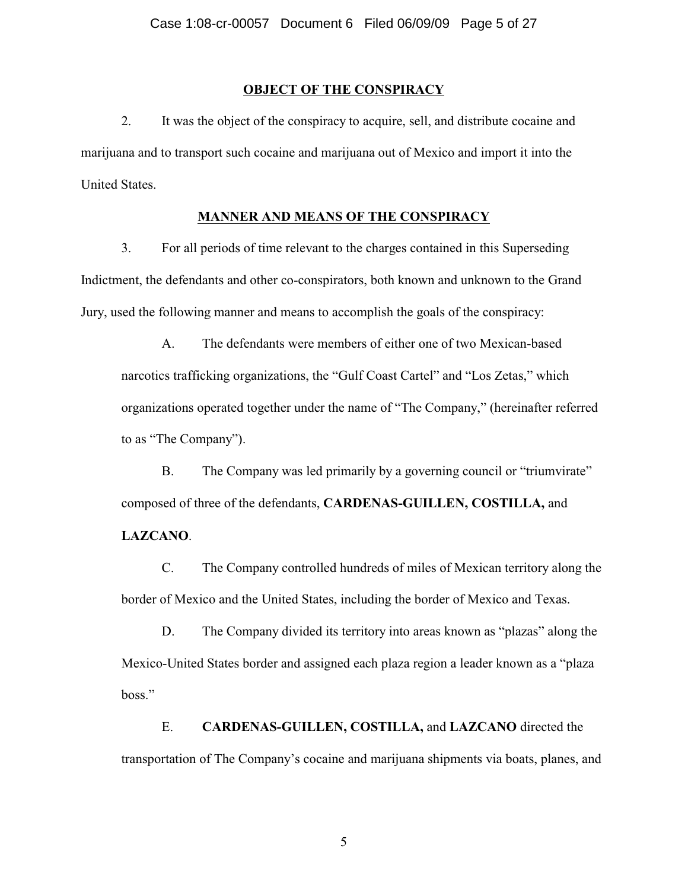### **OBJECT OF THE CONSPIRACY**

2. It was the object of the conspiracy to acquire, sell, and distribute cocaine and marijuana and to transport such cocaine and marijuana out of Mexico and import it into the United States.

## **MANNER AND MEANS OF THE CONSPIRACY**

3. For all periods of time relevant to the charges contained in this Superseding Indictment, the defendants and other co-conspirators, both known and unknown to the Grand Jury, used the following manner and means to accomplish the goals of the conspiracy:

A. The defendants were members of either one of two Mexican-based narcotics trafficking organizations, the "Gulf Coast Cartel" and "Los Zetas," which organizations operated together under the name of "The Company," (hereinafter referred to as "The Company").

B. The Company was led primarily by a governing council or "triumvirate" composed of three of the defendants, **CARDENAS-GUILLEN, COSTILLA,** and **LAZCANO**.

C. The Company controlled hundreds of miles of Mexican territory along the border of Mexico and the United States, including the border of Mexico and Texas.

D. The Company divided its territory into areas known as "plazas" along the Mexico-United States border and assigned each plaza region a leader known as a "plaza boss."

E. **CARDENAS-GUILLEN, COSTILLA,** and **LAZCANO** directed the transportation of The Company's cocaine and marijuana shipments via boats, planes, and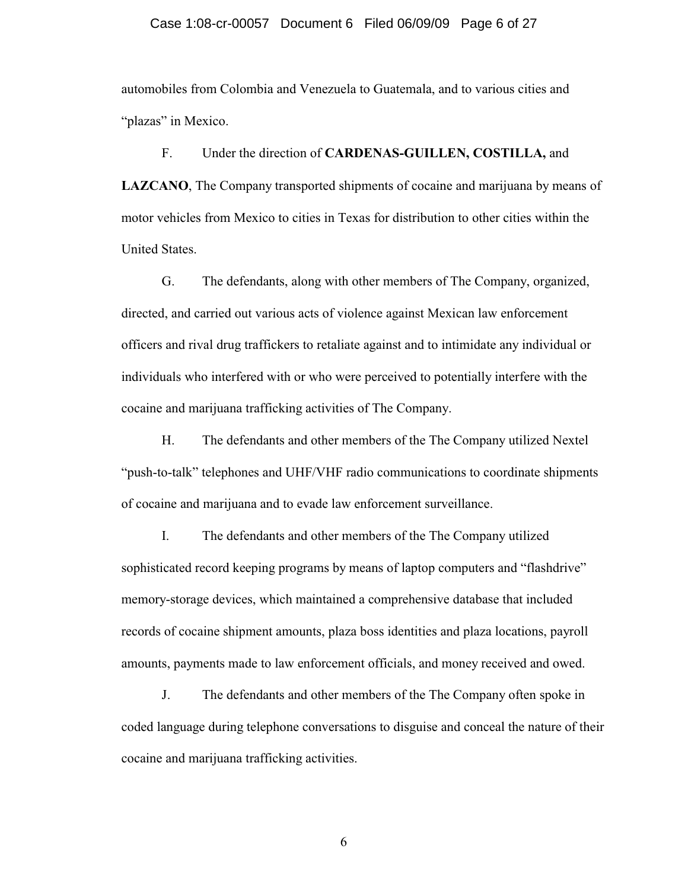#### Case 1:08-cr-00057 Document 6 Filed 06/09/09 Page 6 of 27

automobiles from Colombia and Venezuela to Guatemala, and to various cities and "plazas" in Mexico.

F. Under the direction of **CARDENAS-GUILLEN, COSTILLA,** and **LAZCANO**, The Company transported shipments of cocaine and marijuana by means of motor vehicles from Mexico to cities in Texas for distribution to other cities within the United States.

G. The defendants, along with other members of The Company, organized, directed, and carried out various acts of violence against Mexican law enforcement officers and rival drug traffickers to retaliate against and to intimidate any individual or individuals who interfered with or who were perceived to potentially interfere with the cocaine and marijuana trafficking activities of The Company.

H. The defendants and other members of the The Company utilized Nextel "push-to-talk" telephones and UHF/VHF radio communications to coordinate shipments of cocaine and marijuana and to evade law enforcement surveillance.

I. The defendants and other members of the The Company utilized sophisticated record keeping programs by means of laptop computers and "flashdrive" memory-storage devices, which maintained a comprehensive database that included records of cocaine shipment amounts, plaza boss identities and plaza locations, payroll amounts, payments made to law enforcement officials, and money received and owed.

J. The defendants and other members of the The Company often spoke in coded language during telephone conversations to disguise and conceal the nature of their cocaine and marijuana trafficking activities.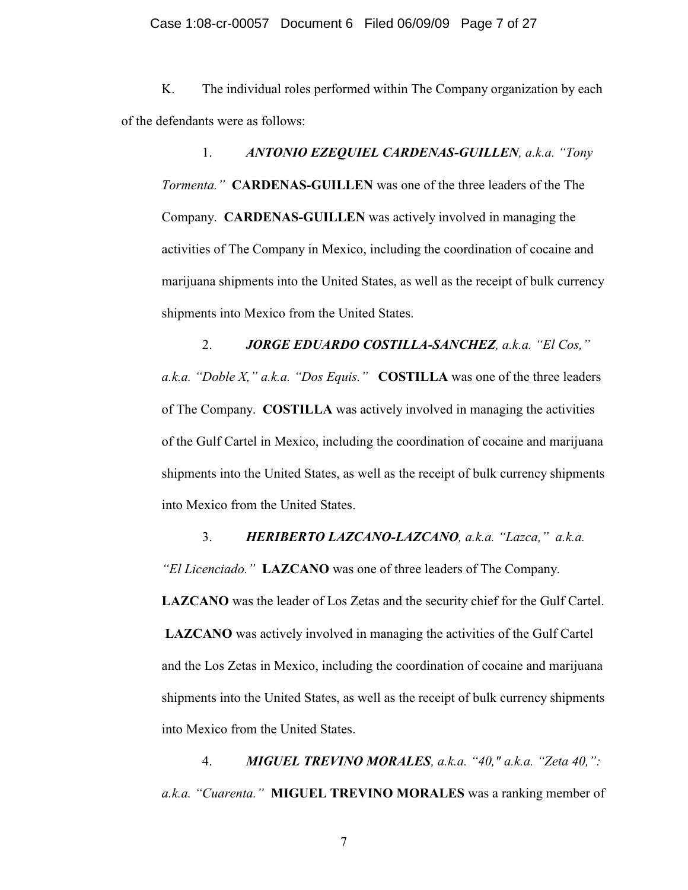#### Case 1:08-cr-00057 Document 6 Filed 06/09/09 Page 7 of 27

K. The individual roles performed within The Company organization by each of the defendants were as follows:

1. *ANTONIO EZEQUIEL CARDENAS-GUILLEN, a.k.a. "Tony Tormenta."* **CARDENAS-GUILLEN** was one of the three leaders of the The Company. **CARDENAS-GUILLEN** was actively involved in managing the activities of The Company in Mexico, including the coordination of cocaine and marijuana shipments into the United States, as well as the receipt of bulk currency shipments into Mexico from the United States.

2. *JORGE EDUARDO COSTILLA-SANCHEZ, a.k.a. "El Cos," a.k.a. "Doble X," a.k.a. "Dos Equis."* **COSTILLA** was one of the three leaders of The Company. **COSTILLA** was actively involved in managing the activities of the Gulf Cartel in Mexico, including the coordination of cocaine and marijuana shipments into the United States, as well as the receipt of bulk currency shipments into Mexico from the United States.

3. *HERIBERTO LAZCANO-LAZCANO, a.k.a. "Lazca," a.k.a. "El Licenciado."* **LAZCANO** was one of three leaders of The Company. **LAZCANO** was the leader of Los Zetas and the security chief for the Gulf Cartel. **LAZCANO** was actively involved in managing the activities of the Gulf Cartel and the Los Zetas in Mexico, including the coordination of cocaine and marijuana shipments into the United States, as well as the receipt of bulk currency shipments into Mexico from the United States.

4. *MIGUEL TREVINO MORALES, a.k.a. "40," a.k.a. "Zeta 40,": a.k.a. "Cuarenta."* **MIGUEL TREVINO MORALES** was a ranking member of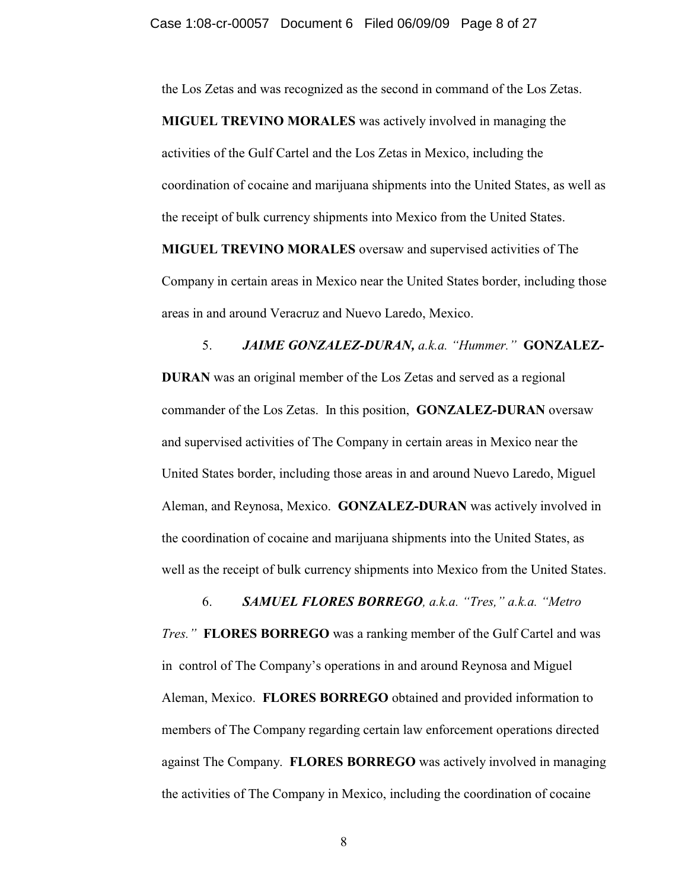the Los Zetas and was recognized as the second in command of the Los Zetas. **MIGUEL TREVINO MORALES** was actively involved in managing the activities of the Gulf Cartel and the Los Zetas in Mexico, including the coordination of cocaine and marijuana shipments into the United States, as well as the receipt of bulk currency shipments into Mexico from the United States.

**MIGUEL TREVINO MORALES** oversaw and supervised activities of The Company in certain areas in Mexico near the United States border, including those areas in and around Veracruz and Nuevo Laredo, Mexico.

5. *JAIME GONZALEZ-DURAN, a.k.a. "Hummer."* **GONZALEZ-DURAN** was an original member of the Los Zetas and served as a regional commander of the Los Zetas. In this position, **GONZALEZ-DURAN** oversaw and supervised activities of The Company in certain areas in Mexico near the United States border, including those areas in and around Nuevo Laredo, Miguel Aleman, and Reynosa, Mexico. **GONZALEZ-DURAN** was actively involved in the coordination of cocaine and marijuana shipments into the United States, as well as the receipt of bulk currency shipments into Mexico from the United States.

6. *SAMUEL FLORES BORREGO, a.k.a. "Tres," a.k.a. "Metro Tres."* **FLORES BORREGO** was a ranking member of the Gulf Cartel and was in control of The Company's operations in and around Reynosa and Miguel Aleman, Mexico. **FLORES BORREGO** obtained and provided information to members of The Company regarding certain law enforcement operations directed against The Company. **FLORES BORREGO** was actively involved in managing the activities of The Company in Mexico, including the coordination of cocaine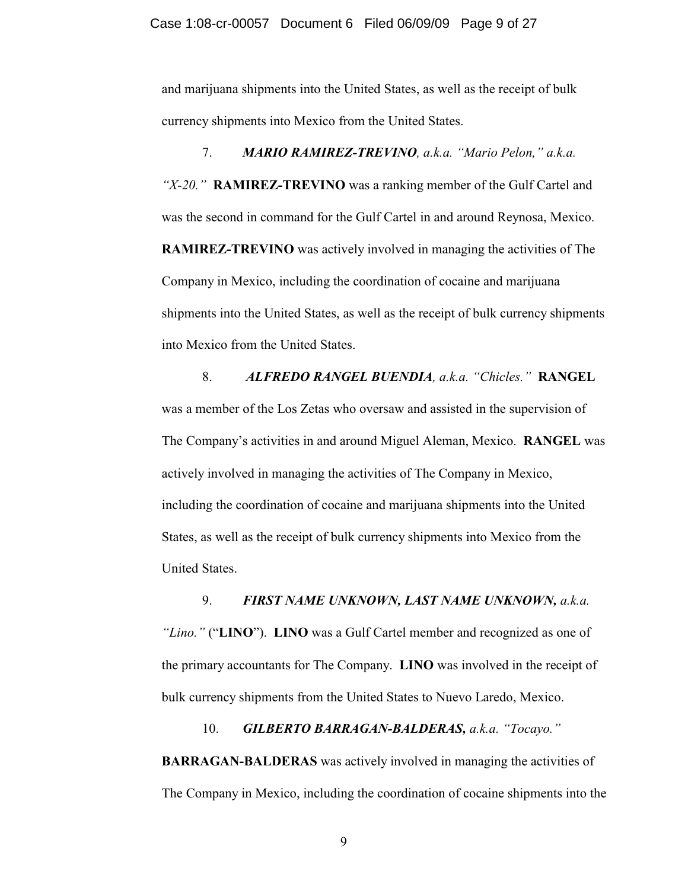and marijuana shipments into the United States, as well as the receipt of bulk currency shipments into Mexico from the United States.

7. *MARIO RAMIREZ-TREVINO, a.k.a. "Mario Pelon," a.k.a. "X-20."* **RAMIREZ-TREVINO** was a ranking member of the Gulf Cartel and was the second in command for the Gulf Cartel in and around Reynosa, Mexico. **RAMIREZ-TREVINO** was actively involved in managing the activities of The Company in Mexico, including the coordination of cocaine and marijuana shipments into the United States, as well as the receipt of bulk currency shipments into Mexico from the United States.

8. *ALFREDO RANGEL BUENDIA, a.k.a. "Chicles."* **RANGEL** was a member of the Los Zetas who oversaw and assisted in the supervision of The Company's activities in and around Miguel Aleman, Mexico. **RANGEL** was actively involved in managing the activities of The Company in Mexico, including the coordination of cocaine and marijuana shipments into the United States, as well as the receipt of bulk currency shipments into Mexico from the United States.

9. *FIRST NAME UNKNOWN, LAST NAME UNKNOWN, a.k.a. "Lino."* ("**LINO**"). **LINO** was a Gulf Cartel member and recognized as one of the primary accountants for The Company. **LINO** was involved in the receipt of bulk currency shipments from the United States to Nuevo Laredo, Mexico.

10. *GILBERTO BARRAGAN-BALDERAS, a.k.a. "Tocayo."* **BARRAGAN-BALDERAS** was actively involved in managing the activities of The Company in Mexico, including the coordination of cocaine shipments into the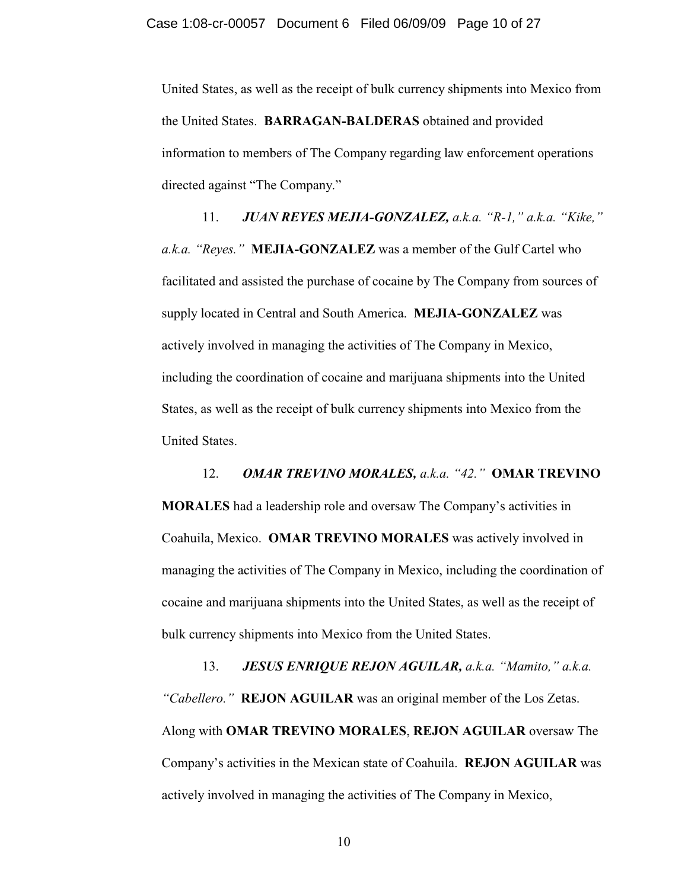United States, as well as the receipt of bulk currency shipments into Mexico from the United States. **BARRAGAN-BALDERAS** obtained and provided information to members of The Company regarding law enforcement operations directed against "The Company."

11. *JUAN REYES MEJIA-GONZALEZ, a.k.a. "R-1," a.k.a. "Kike," a.k.a. "Reyes."* **MEJIA-GONZALEZ** was a member of the Gulf Cartel who facilitated and assisted the purchase of cocaine by The Company from sources of supply located in Central and South America. **MEJIA-GONZALEZ** was actively involved in managing the activities of The Company in Mexico, including the coordination of cocaine and marijuana shipments into the United States, as well as the receipt of bulk currency shipments into Mexico from the United States.

12. *OMAR TREVINO MORALES, a.k.a. "42."* **OMAR TREVINO MORALES** had a leadership role and oversaw The Company's activities in Coahuila, Mexico. **OMAR TREVINO MORALES** was actively involved in managing the activities of The Company in Mexico, including the coordination of cocaine and marijuana shipments into the United States, as well as the receipt of bulk currency shipments into Mexico from the United States.

13. *JESUS ENRIQUE REJON AGUILAR, a.k.a. "Mamito," a.k.a. "Cabellero."* **REJON AGUILAR** was an original member of the Los Zetas. Along with **OMAR TREVINO MORALES**, **REJON AGUILAR** oversaw The Company's activities in the Mexican state of Coahuila. **REJON AGUILAR** was actively involved in managing the activities of The Company in Mexico,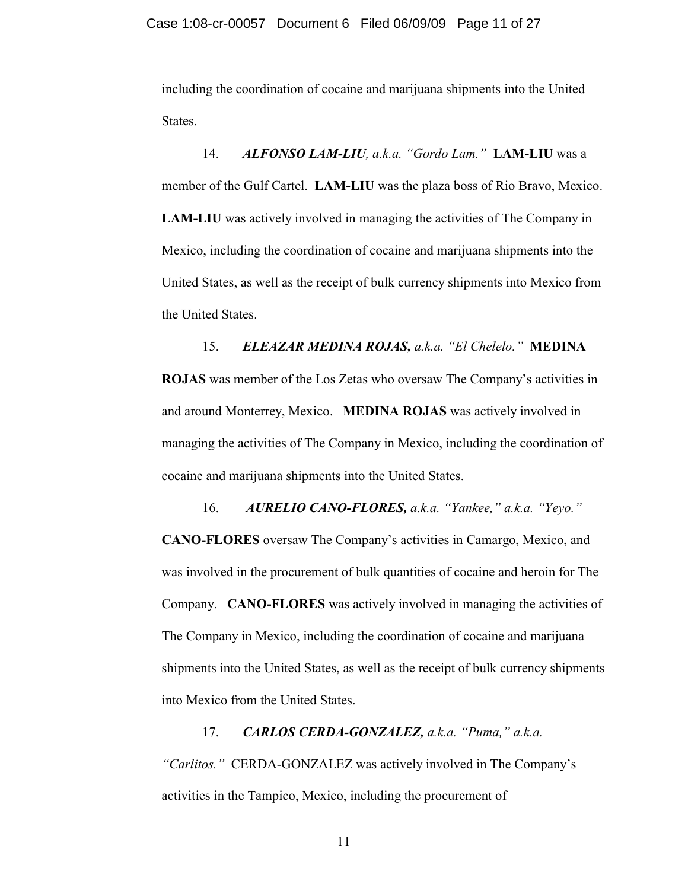including the coordination of cocaine and marijuana shipments into the United States.

14. *ALFONSO LAM-LIU, a.k.a. "Gordo Lam."* **LAM-LIU** was a member of the Gulf Cartel. **LAM-LIU** was the plaza boss of Rio Bravo, Mexico. **LAM-LIU** was actively involved in managing the activities of The Company in Mexico, including the coordination of cocaine and marijuana shipments into the United States, as well as the receipt of bulk currency shipments into Mexico from the United States.

15. *ELEAZAR MEDINA ROJAS, a.k.a. "El Chelelo."* **MEDINA ROJAS** was member of the Los Zetas who oversaw The Company's activities in and around Monterrey, Mexico. **MEDINA ROJAS** was actively involved in managing the activities of The Company in Mexico, including the coordination of cocaine and marijuana shipments into the United States.

16. *AURELIO CANO-FLORES, a.k.a. "Yankee," a.k.a. "Yeyo."* **CANO-FLORES** oversaw The Company's activities in Camargo, Mexico, and was involved in the procurement of bulk quantities of cocaine and heroin for The Company. **CANO-FLORES** was actively involved in managing the activities of The Company in Mexico, including the coordination of cocaine and marijuana shipments into the United States, as well as the receipt of bulk currency shipments into Mexico from the United States.

17. *CARLOS CERDA-GONZALEZ, a.k.a. "Puma," a.k.a. "Carlitos."* CERDA-GONZALEZ was actively involved in The Company's activities in the Tampico, Mexico, including the procurement of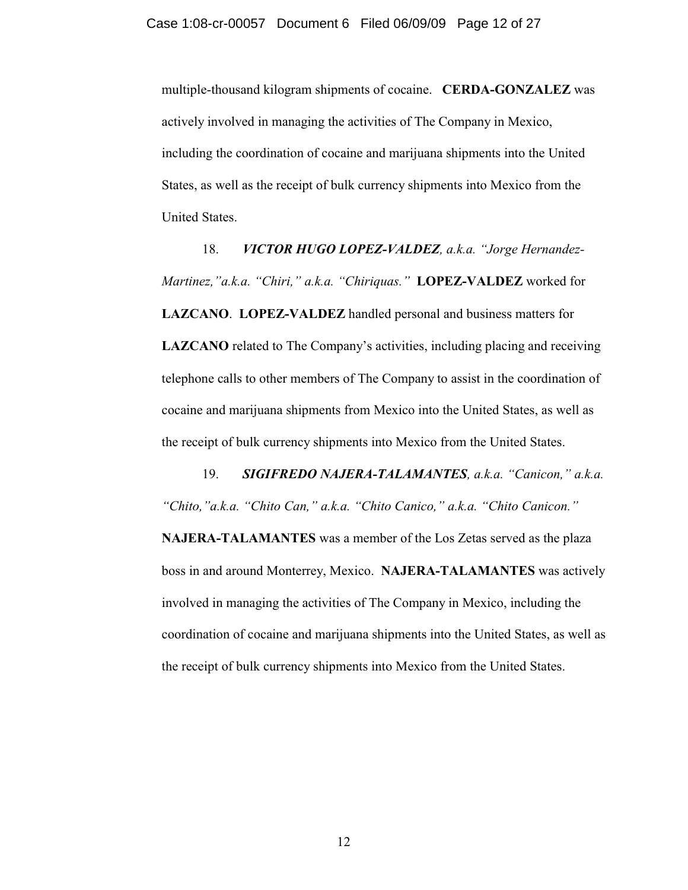multiple-thousand kilogram shipments of cocaine. **CERDA-GONZALEZ** was actively involved in managing the activities of The Company in Mexico, including the coordination of cocaine and marijuana shipments into the United States, as well as the receipt of bulk currency shipments into Mexico from the United States.

18. *VICTOR HUGO LOPEZ-VALDEZ, a.k.a. "Jorge Hernandez-Martinez,"a.k.a. "Chiri," a.k.a. "Chiriquas."* **LOPEZ-VALDEZ** worked for **LAZCANO**. **LOPEZ-VALDEZ** handled personal and business matters for **LAZCANO** related to The Company's activities, including placing and receiving telephone calls to other members of The Company to assist in the coordination of cocaine and marijuana shipments from Mexico into the United States, as well as the receipt of bulk currency shipments into Mexico from the United States.

19. *SIGIFREDO NAJERA-TALAMANTES, a.k.a. "Canicon," a.k.a. "Chito,"a.k.a. "Chito Can," a.k.a. "Chito Canico," a.k.a. "Chito Canicon."* **NAJERA-TALAMANTES** was a member of the Los Zetas served as the plaza

boss in and around Monterrey, Mexico. **NAJERA-TALAMANTES** was actively involved in managing the activities of The Company in Mexico, including the coordination of cocaine and marijuana shipments into the United States, as well as the receipt of bulk currency shipments into Mexico from the United States.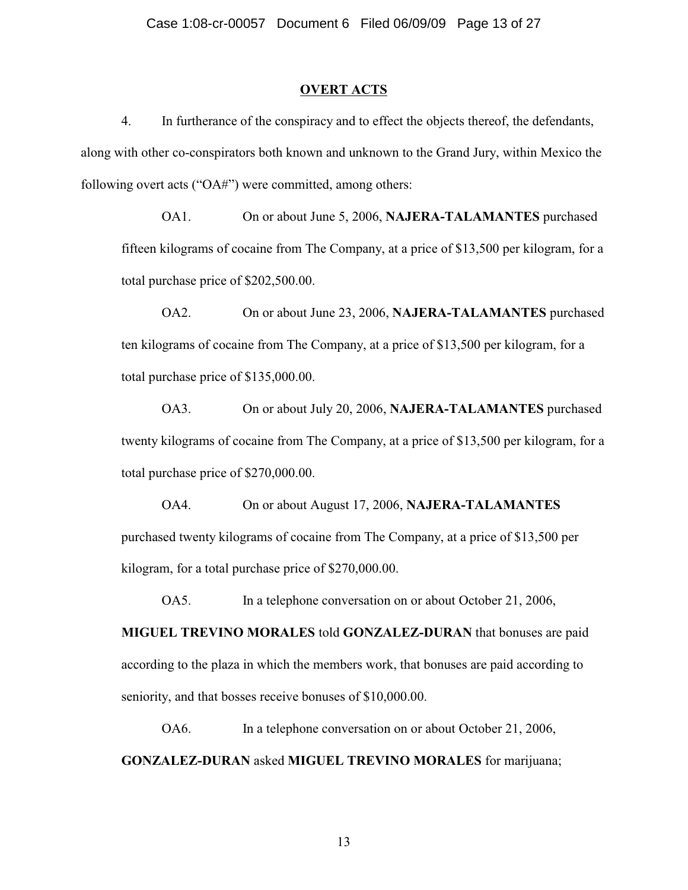#### **OVERT ACTS**

4. In furtherance of the conspiracy and to effect the objects thereof, the defendants, along with other co-conspirators both known and unknown to the Grand Jury, within Mexico the following overt acts ("OA#") were committed, among others:

OA1. On or about June 5, 2006, **NAJERA-TALAMANTES** purchased fifteen kilograms of cocaine from The Company, at a price of \$13,500 per kilogram, for a total purchase price of \$202,500.00.

OA2. On or about June 23, 2006, **NAJERA-TALAMANTES** purchased ten kilograms of cocaine from The Company, at a price of \$13,500 per kilogram, for a total purchase price of \$135,000.00.

OA3. On or about July 20, 2006, **NAJERA-TALAMANTES** purchased twenty kilograms of cocaine from The Company, at a price of \$13,500 per kilogram, for a total purchase price of \$270,000.00.

OA4. On or about August 17, 2006, **NAJERA-TALAMANTES** purchased twenty kilograms of cocaine from The Company, at a price of \$13,500 per kilogram, for a total purchase price of \$270,000.00.

OA5. In a telephone conversation on or about October 21, 2006,

**MIGUEL TREVINO MORALES** told **GONZALEZ-DURAN** that bonuses are paid according to the plaza in which the members work, that bonuses are paid according to seniority, and that bosses receive bonuses of \$10,000.00.

OA6. In a telephone conversation on or about October 21, 2006, **GONZALEZ-DURAN** asked **MIGUEL TREVINO MORALES** for marijuana;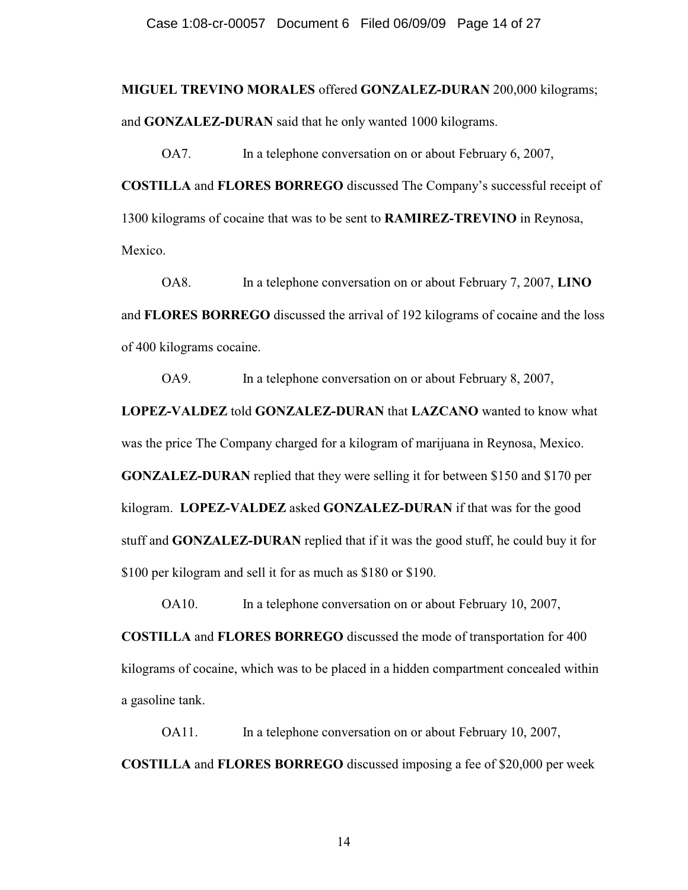**MIGUEL TREVINO MORALES** offered **GONZALEZ-DURAN** 200,000 kilograms; and **GONZALEZ-DURAN** said that he only wanted 1000 kilograms.

OA7. In a telephone conversation on or about February 6, 2007, **COSTILLA** and **FLORES BORREGO** discussed The Company's successful receipt of 1300 kilograms of cocaine that was to be sent to **RAMIREZ-TREVINO** in Reynosa, Mexico.

OA8. In a telephone conversation on or about February 7, 2007, **LINO** and **FLORES BORREGO** discussed the arrival of 192 kilograms of cocaine and the loss of 400 kilograms cocaine.

OA9. In a telephone conversation on or about February 8, 2007, **LOPEZ-VALDEZ** told **GONZALEZ-DURAN** that **LAZCANO** wanted to know what was the price The Company charged for a kilogram of marijuana in Reynosa, Mexico. **GONZALEZ-DURAN** replied that they were selling it for between \$150 and \$170 per kilogram. **LOPEZ-VALDEZ** asked **GONZALEZ-DURAN** if that was for the good stuff and **GONZALEZ-DURAN** replied that if it was the good stuff, he could buy it for \$100 per kilogram and sell it for as much as \$180 or \$190.

OA10. In a telephone conversation on or about February 10, 2007, **COSTILLA** and **FLORES BORREGO** discussed the mode of transportation for 400 kilograms of cocaine, which was to be placed in a hidden compartment concealed within a gasoline tank.

OA11. In a telephone conversation on or about February 10, 2007, **COSTILLA** and **FLORES BORREGO** discussed imposing a fee of \$20,000 per week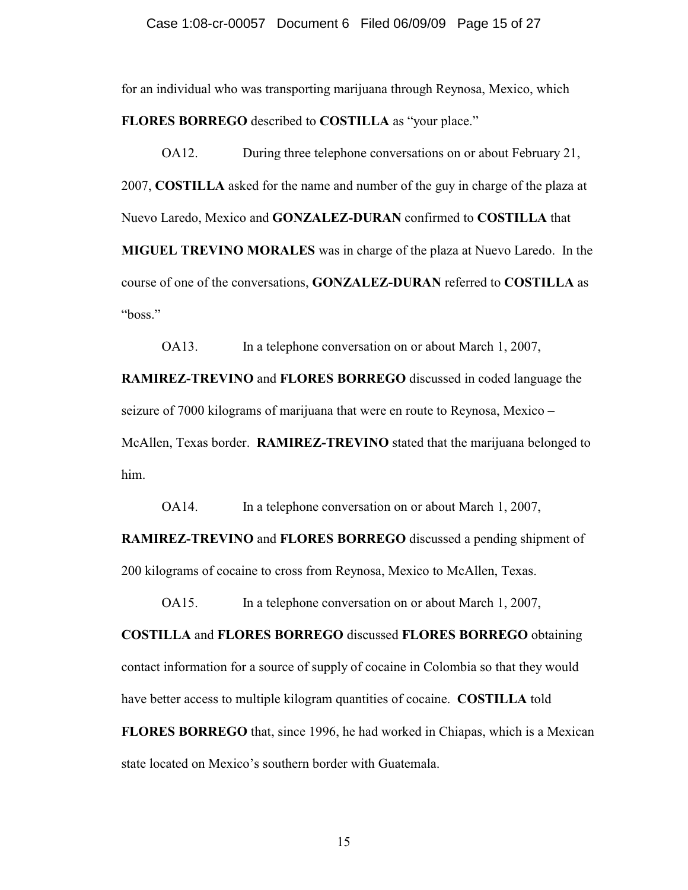for an individual who was transporting marijuana through Reynosa, Mexico, which **FLORES BORREGO** described to **COSTILLA** as "your place."

OA12. During three telephone conversations on or about February 21, 2007, **COSTILLA** asked for the name and number of the guy in charge of the plaza at Nuevo Laredo, Mexico and **GONZALEZ-DURAN** confirmed to **COSTILLA** that **MIGUEL TREVINO MORALES** was in charge of the plaza at Nuevo Laredo. In the course of one of the conversations, **GONZALEZ-DURAN** referred to **COSTILLA** as "boss."

OA13. In a telephone conversation on or about March 1, 2007,

**RAMIREZ-TREVINO** and **FLORES BORREGO** discussed in coded language the seizure of 7000 kilograms of marijuana that were en route to Reynosa, Mexico – McAllen, Texas border. **RAMIREZ-TREVINO** stated that the marijuana belonged to him.

OA14. In a telephone conversation on or about March 1, 2007,

**RAMIREZ-TREVINO** and **FLORES BORREGO** discussed a pending shipment of 200 kilograms of cocaine to cross from Reynosa, Mexico to McAllen, Texas.

OA15. In a telephone conversation on or about March 1, 2007,

**COSTILLA** and **FLORES BORREGO** discussed **FLORES BORREGO** obtaining contact information for a source of supply of cocaine in Colombia so that they would have better access to multiple kilogram quantities of cocaine. **COSTILLA** told **FLORES BORREGO** that, since 1996, he had worked in Chiapas, which is a Mexican state located on Mexico's southern border with Guatemala.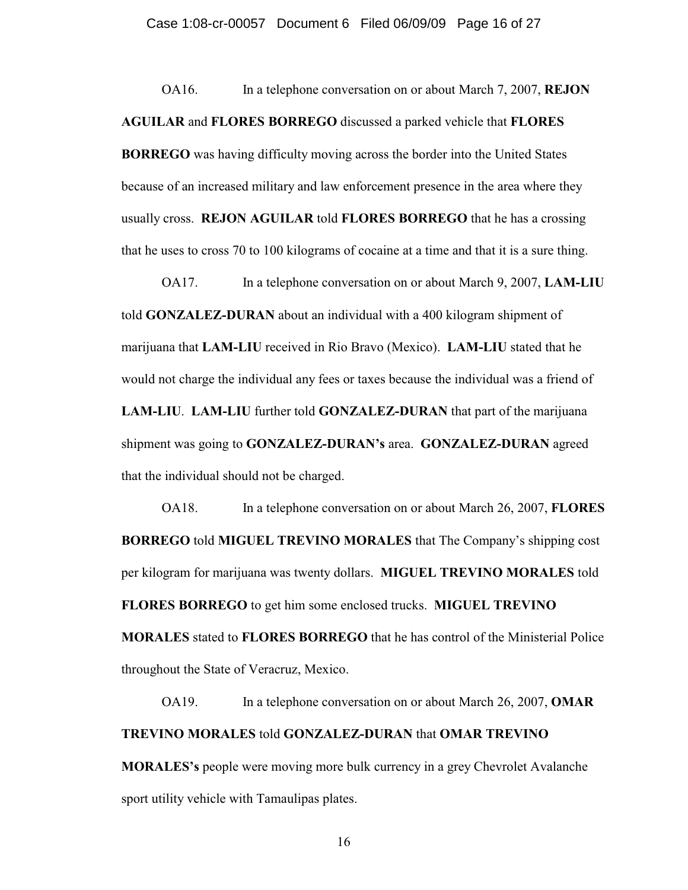OA16. In a telephone conversation on or about March 7, 2007, **REJON AGUILAR** and **FLORES BORREGO** discussed a parked vehicle that **FLORES BORREGO** was having difficulty moving across the border into the United States because of an increased military and law enforcement presence in the area where they usually cross. **REJON AGUILAR** told **FLORES BORREGO** that he has a crossing that he uses to cross 70 to 100 kilograms of cocaine at a time and that it is a sure thing.

OA17. In a telephone conversation on or about March 9, 2007, **LAM-LIU** told **GONZALEZ-DURAN** about an individual with a 400 kilogram shipment of marijuana that **LAM-LIU** received in Rio Bravo (Mexico). **LAM-LIU** stated that he would not charge the individual any fees or taxes because the individual was a friend of **LAM-LIU**. **LAM-LIU** further told **GONZALEZ-DURAN** that part of the marijuana shipment was going to **GONZALEZ-DURAN's** area. **GONZALEZ-DURAN** agreed that the individual should not be charged.

OA18. In a telephone conversation on or about March 26, 2007, **FLORES BORREGO** told **MIGUEL TREVINO MORALES** that The Company's shipping cost per kilogram for marijuana was twenty dollars. **MIGUEL TREVINO MORALES** told **FLORES BORREGO** to get him some enclosed trucks. **MIGUEL TREVINO MORALES** stated to **FLORES BORREGO** that he has control of the Ministerial Police throughout the State of Veracruz, Mexico.

OA19. In a telephone conversation on or about March 26, 2007, **OMAR TREVINO MORALES** told **GONZALEZ-DURAN** that **OMAR TREVINO**

**MORALES's** people were moving more bulk currency in a grey Chevrolet Avalanche sport utility vehicle with Tamaulipas plates.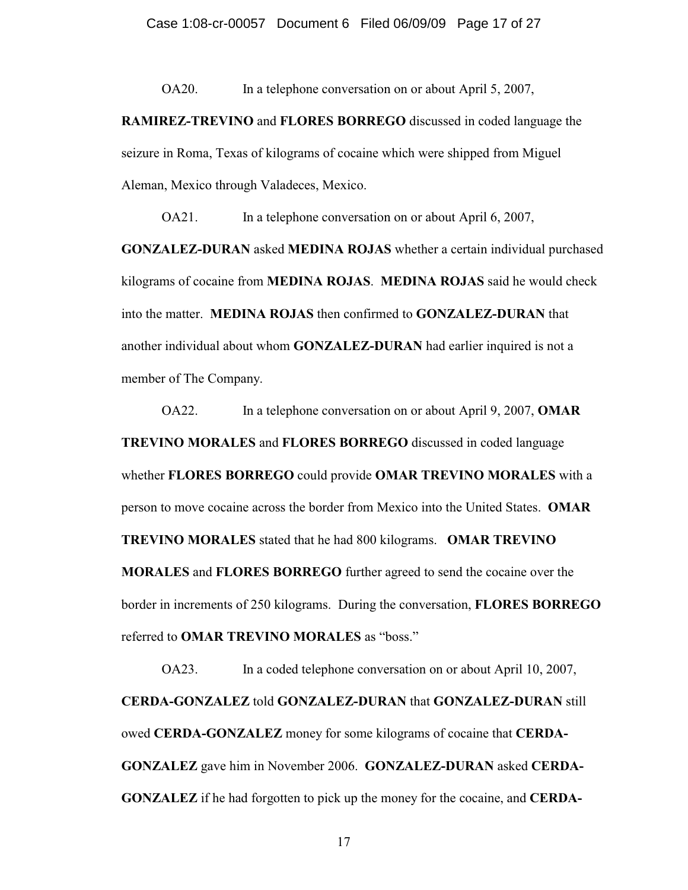OA20. In a telephone conversation on or about April 5, 2007,

**RAMIREZ-TREVINO** and **FLORES BORREGO** discussed in coded language the seizure in Roma, Texas of kilograms of cocaine which were shipped from Miguel Aleman, Mexico through Valadeces, Mexico.

OA21. In a telephone conversation on or about April 6, 2007, **GONZALEZ-DURAN** asked **MEDINA ROJAS** whether a certain individual purchased kilograms of cocaine from **MEDINA ROJAS**. **MEDINA ROJAS** said he would check into the matter. **MEDINA ROJAS** then confirmed to **GONZALEZ-DURAN** that another individual about whom **GONZALEZ-DURAN** had earlier inquired is not a member of The Company.

OA22. In a telephone conversation on or about April 9, 2007, **OMAR TREVINO MORALES** and **FLORES BORREGO** discussed in coded language whether **FLORES BORREGO** could provide **OMAR TREVINO MORALES** with a person to move cocaine across the border from Mexico into the United States. **OMAR TREVINO MORALES** stated that he had 800 kilograms. **OMAR TREVINO MORALES** and **FLORES BORREGO** further agreed to send the cocaine over the border in increments of 250 kilograms. During the conversation, **FLORES BORREGO** referred to **OMAR TREVINO MORALES** as "boss."

OA23. In a coded telephone conversation on or about April 10, 2007, **CERDA-GONZALEZ** told **GONZALEZ-DURAN** that **GONZALEZ-DURAN** still owed **CERDA-GONZALEZ** money for some kilograms of cocaine that **CERDA-GONZALEZ** gave him in November 2006. **GONZALEZ-DURAN** asked **CERDA-GONZALEZ** if he had forgotten to pick up the money for the cocaine, and **CERDA-**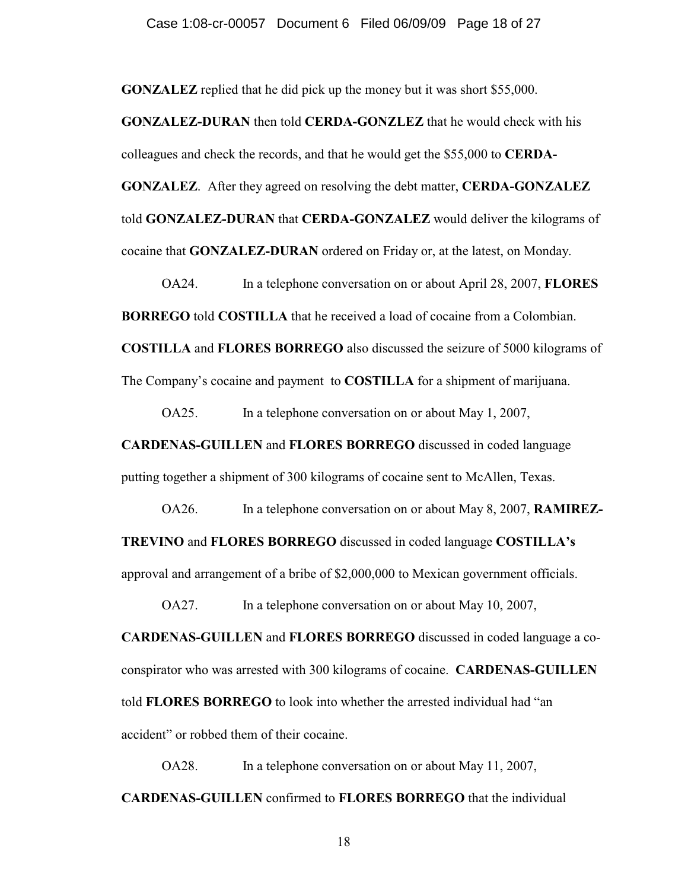**GONZALEZ** replied that he did pick up the money but it was short \$55,000.

**GONZALEZ-DURAN** then told **CERDA-GONZLEZ** that he would check with his colleagues and check the records, and that he would get the \$55,000 to **CERDA-**

**GONZALEZ**. After they agreed on resolving the debt matter, **CERDA-GONZALEZ** told **GONZALEZ-DURAN** that **CERDA-GONZALEZ** would deliver the kilograms of cocaine that **GONZALEZ-DURAN** ordered on Friday or, at the latest, on Monday.

OA24. In a telephone conversation on or about April 28, 2007, **FLORES BORREGO** told **COSTILLA** that he received a load of cocaine from a Colombian. **COSTILLA** and **FLORES BORREGO** also discussed the seizure of 5000 kilograms of The Company's cocaine and payment to **COSTILLA** for a shipment of marijuana.

OA25. In a telephone conversation on or about May 1, 2007,

**CARDENAS-GUILLEN** and **FLORES BORREGO** discussed in coded language putting together a shipment of 300 kilograms of cocaine sent to McAllen, Texas.

OA26. In a telephone conversation on or about May 8, 2007, **RAMIREZ-TREVINO** and **FLORES BORREGO** discussed in coded language **COSTILLA's** approval and arrangement of a bribe of \$2,000,000 to Mexican government officials.

OA27. In a telephone conversation on or about May 10, 2007,

**CARDENAS-GUILLEN** and **FLORES BORREGO** discussed in coded language a coconspirator who was arrested with 300 kilograms of cocaine. **CARDENAS-GUILLEN** told **FLORES BORREGO** to look into whether the arrested individual had "an accident" or robbed them of their cocaine.

OA28. In a telephone conversation on or about May 11, 2007, **CARDENAS-GUILLEN** confirmed to **FLORES BORREGO** that the individual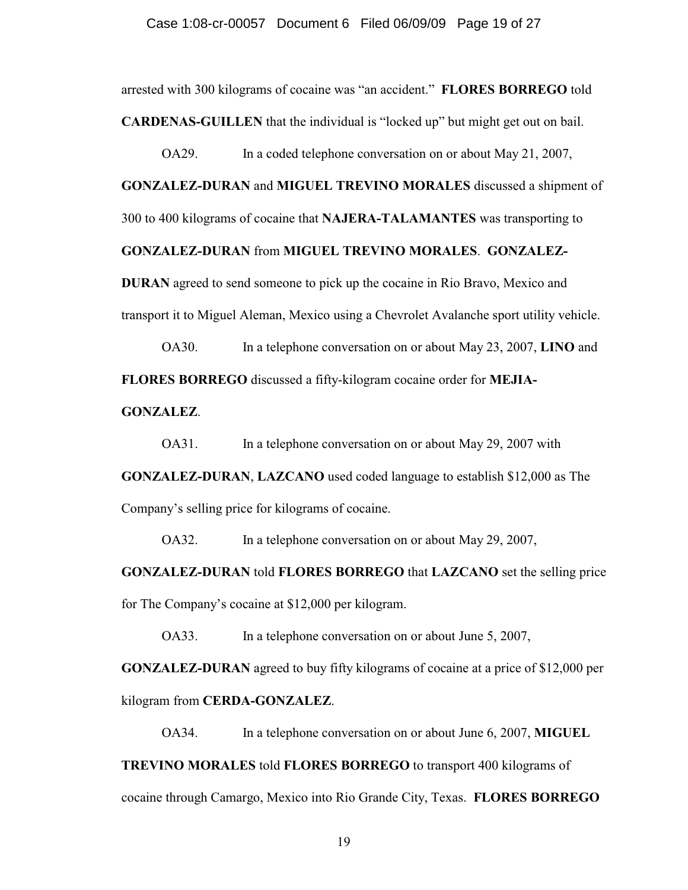arrested with 300 kilograms of cocaine was "an accident." **FLORES BORREGO** told **CARDENAS-GUILLEN** that the individual is "locked up" but might get out on bail.

OA29. In a coded telephone conversation on or about May 21, 2007,

**GONZALEZ-DURAN** and **MIGUEL TREVINO MORALES** discussed a shipment of

300 to 400 kilograms of cocaine that **NAJERA-TALAMANTES** was transporting to

### **GONZALEZ-DURAN** from **MIGUEL TREVINO MORALES**. **GONZALEZ-**

**DURAN** agreed to send someone to pick up the cocaine in Rio Bravo, Mexico and transport it to Miguel Aleman, Mexico using a Chevrolet Avalanche sport utility vehicle.

OA30. In a telephone conversation on or about May 23, 2007, **LINO** and **FLORES BORREGO** discussed a fifty-kilogram cocaine order for **MEJIA-**

**GONZALEZ**.

OA31. In a telephone conversation on or about May 29, 2007 with **GONZALEZ-DURAN**, **LAZCANO** used coded language to establish \$12,000 as The Company's selling price for kilograms of cocaine.

OA32. In a telephone conversation on or about May 29, 2007,

**GONZALEZ-DURAN** told **FLORES BORREGO** that **LAZCANO** set the selling price for The Company's cocaine at \$12,000 per kilogram.

OA33. In a telephone conversation on or about June 5, 2007,

**GONZALEZ-DURAN** agreed to buy fifty kilograms of cocaine at a price of \$12,000 per

kilogram from **CERDA-GONZALEZ**.

OA34. In a telephone conversation on or about June 6, 2007, **MIGUEL**

**TREVINO MORALES** told **FLORES BORREGO** to transport 400 kilograms of

cocaine through Camargo, Mexico into Rio Grande City, Texas. **FLORES BORREGO**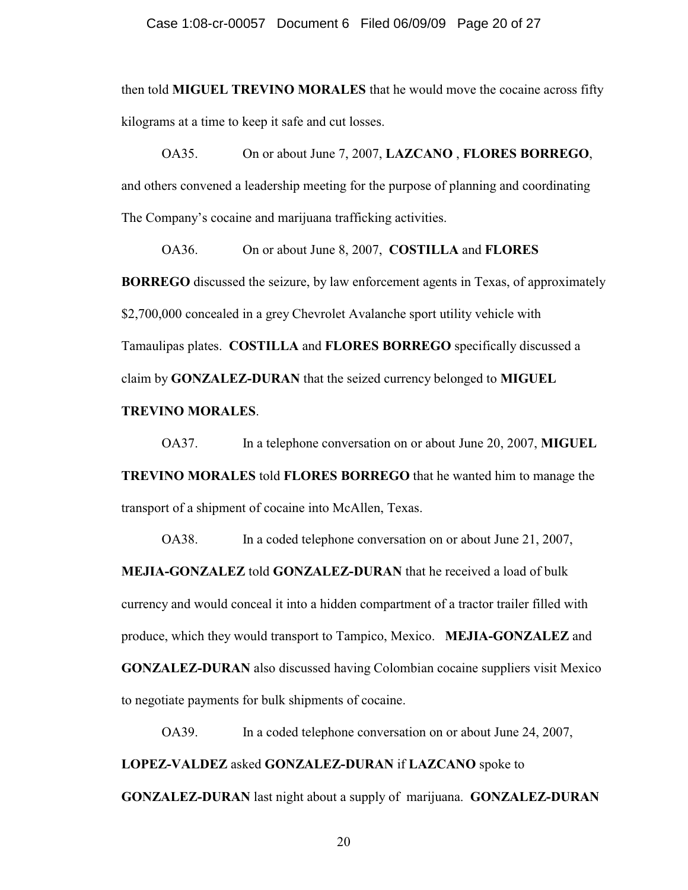then told **MIGUEL TREVINO MORALES** that he would move the cocaine across fifty kilograms at a time to keep it safe and cut losses.

OA35. On or about June 7, 2007, **LAZCANO** , **FLORES BORREGO**, and others convened a leadership meeting for the purpose of planning and coordinating The Company's cocaine and marijuana trafficking activities.

OA36. On or about June 8, 2007, **COSTILLA** and **FLORES**

**BORREGO** discussed the seizure, by law enforcement agents in Texas, of approximately \$2,700,000 concealed in a grey Chevrolet Avalanche sport utility vehicle with Tamaulipas plates. **COSTILLA** and **FLORES BORREGO** specifically discussed a claim by **GONZALEZ-DURAN** that the seized currency belonged to **MIGUEL**

## **TREVINO MORALES**.

OA37. In a telephone conversation on or about June 20, 2007, **MIGUEL TREVINO MORALES** told **FLORES BORREGO** that he wanted him to manage the transport of a shipment of cocaine into McAllen, Texas.

OA38. In a coded telephone conversation on or about June 21, 2007, **MEJIA-GONZALEZ** told **GONZALEZ-DURAN** that he received a load of bulk currency and would conceal it into a hidden compartment of a tractor trailer filled with produce, which they would transport to Tampico, Mexico. **MEJIA-GONZALEZ** and **GONZALEZ-DURAN** also discussed having Colombian cocaine suppliers visit Mexico to negotiate payments for bulk shipments of cocaine.

OA39. In a coded telephone conversation on or about June 24, 2007, **LOPEZ-VALDEZ** asked **GONZALEZ-DURAN** if **LAZCANO** spoke to **GONZALEZ-DURAN** last night about a supply of marijuana. **GONZALEZ-DURAN**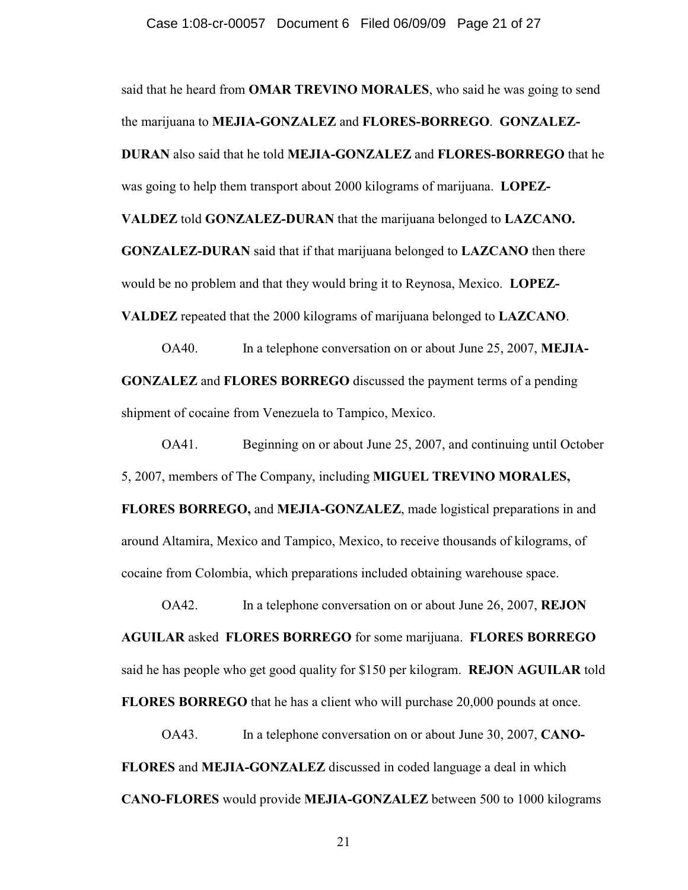said that he heard from **OMAR TREVINO MORALES**, who said he was going to send the marijuana to **MEJIA-GONZALEZ** and **FLORES-BORREGO**. **GONZALEZ-DURAN** also said that he told **MEJIA-GONZALEZ** and **FLORES-BORREGO** that he was going to help them transport about 2000 kilograms of marijuana. **LOPEZ-VALDEZ** told **GONZALEZ-DURAN** that the marijuana belonged to **LAZCANO. GONZALEZ-DURAN** said that if that marijuana belonged to **LAZCANO** then there would be no problem and that they would bring it to Reynosa, Mexico. **LOPEZ-VALDEZ** repeated that the 2000 kilograms of marijuana belonged to **LAZCANO**.

OA40. In a telephone conversation on or about June 25, 2007, **MEJIA-GONZALEZ** and **FLORES BORREGO** discussed the payment terms of a pending shipment of cocaine from Venezuela to Tampico, Mexico.

OA41. Beginning on or about June 25, 2007, and continuing until October 5, 2007, members of The Company, including **MIGUEL TREVINO MORALES, FLORES BORREGO,** and **MEJIA-GONZALEZ**, made logistical preparations in and around Altamira, Mexico and Tampico, Mexico, to receive thousands of kilograms, of cocaine from Colombia, which preparations included obtaining warehouse space.

OA42. In a telephone conversation on or about June 26, 2007, **REJON AGUILAR** asked **FLORES BORREGO** for some marijuana. **FLORES BORREGO** said he has people who get good quality for \$150 per kilogram. **REJON AGUILAR** told **FLORES BORREGO** that he has a client who will purchase 20,000 pounds at once.

OA43. In a telephone conversation on or about June 30, 2007, **CANO-FLORES** and **MEJIA-GONZALEZ** discussed in coded language a deal in which **CANO-FLORES** would provide **MEJIA-GONZALEZ** between 500 to 1000 kilograms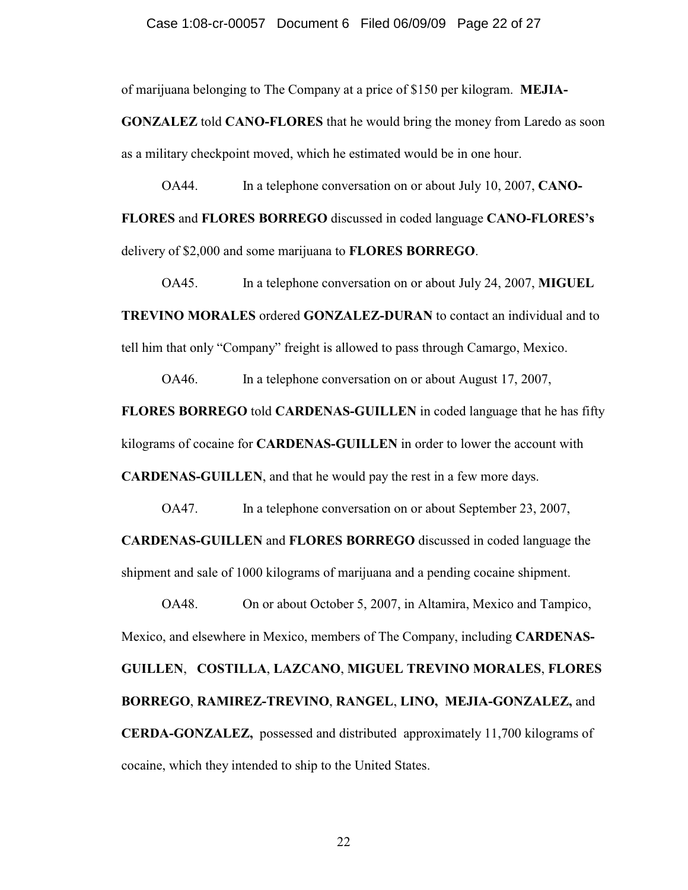of marijuana belonging to The Company at a price of \$150 per kilogram. **MEJIA-**

**GONZALEZ** told **CANO-FLORES** that he would bring the money from Laredo as soon as a military checkpoint moved, which he estimated would be in one hour.

OA44. In a telephone conversation on or about July 10, 2007, **CANO-FLORES** and **FLORES BORREGO** discussed in coded language **CANO-FLORES's** delivery of \$2,000 and some marijuana to **FLORES BORREGO**.

OA45. In a telephone conversation on or about July 24, 2007, **MIGUEL TREVINO MORALES** ordered **GONZALEZ-DURAN** to contact an individual and to tell him that only "Company" freight is allowed to pass through Camargo, Mexico.

OA46. In a telephone conversation on or about August 17, 2007, **FLORES BORREGO** told **CARDENAS-GUILLEN** in coded language that he has fifty kilograms of cocaine for **CARDENAS-GUILLEN** in order to lower the account with **CARDENAS-GUILLEN**, and that he would pay the rest in a few more days.

OA47. In a telephone conversation on or about September 23, 2007, **CARDENAS-GUILLEN** and **FLORES BORREGO** discussed in coded language the shipment and sale of 1000 kilograms of marijuana and a pending cocaine shipment.

OA48. On or about October 5, 2007, in Altamira, Mexico and Tampico, Mexico, and elsewhere in Mexico, members of The Company, including **CARDENAS-GUILLEN**, **COSTILLA**, **LAZCANO**, **MIGUEL TREVINO MORALES**, **FLORES BORREGO**, **RAMIREZ-TREVINO**, **RANGEL**, **LINO, MEJIA-GONZALEZ,** and **CERDA-GONZALEZ,** possessed and distributed approximately 11,700 kilograms of cocaine, which they intended to ship to the United States.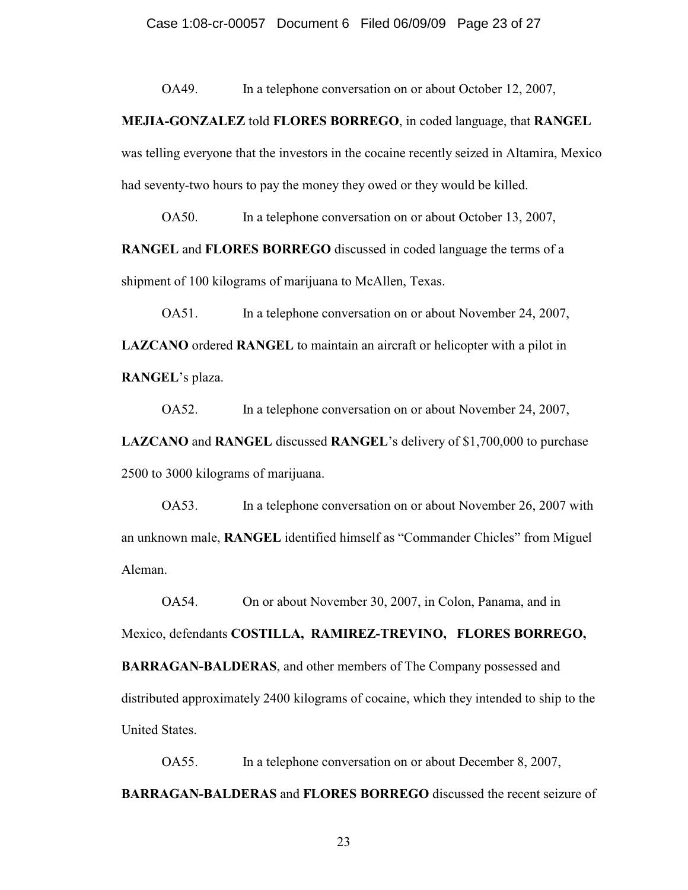OA49. In a telephone conversation on or about October 12, 2007,

**MEJIA-GONZALEZ** told **FLORES BORREGO**, in coded language, that **RANGEL**

was telling everyone that the investors in the cocaine recently seized in Altamira, Mexico had seventy-two hours to pay the money they owed or they would be killed.

OA50. In a telephone conversation on or about October 13, 2007,

**RANGEL** and **FLORES BORREGO** discussed in coded language the terms of a shipment of 100 kilograms of marijuana to McAllen, Texas.

OA51. In a telephone conversation on or about November 24, 2007, **LAZCANO** ordered **RANGEL** to maintain an aircraft or helicopter with a pilot in **RANGEL**'s plaza.

OA52. In a telephone conversation on or about November 24, 2007, **LAZCANO** and **RANGEL** discussed **RANGEL**'s delivery of \$1,700,000 to purchase 2500 to 3000 kilograms of marijuana.

OA53. In a telephone conversation on or about November 26, 2007 with an unknown male, **RANGEL** identified himself as "Commander Chicles" from Miguel Aleman.

OA54. On or about November 30, 2007, in Colon, Panama, and in

Mexico, defendants **COSTILLA, RAMIREZ-TREVINO, FLORES BORREGO,**

**BARRAGAN-BALDERAS**, and other members of The Company possessed and distributed approximately 2400 kilograms of cocaine, which they intended to ship to the United States.

OA55. In a telephone conversation on or about December 8, 2007, **BARRAGAN-BALDERAS** and **FLORES BORREGO** discussed the recent seizure of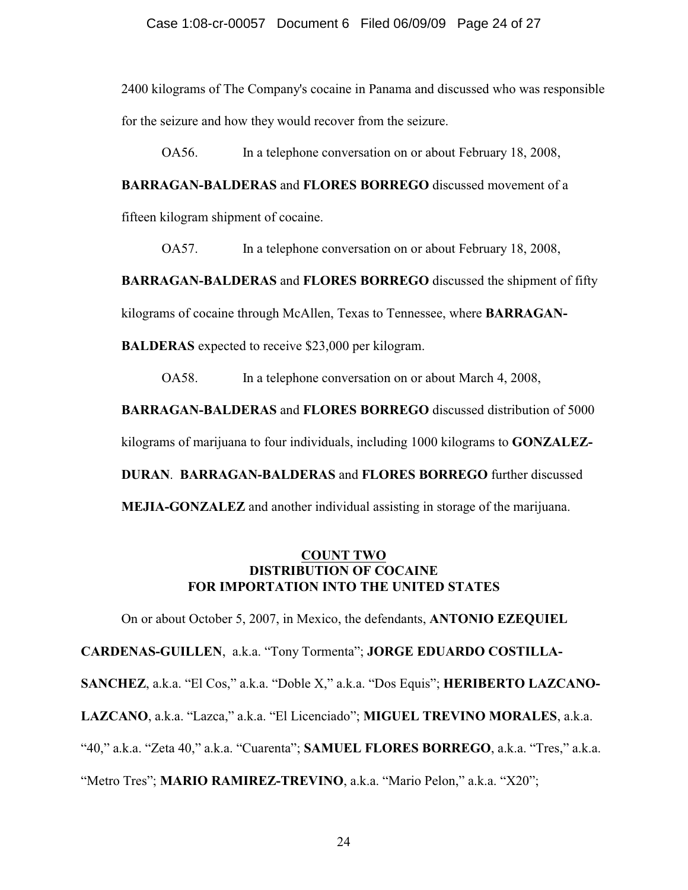2400 kilograms of The Company's cocaine in Panama and discussed who was responsible for the seizure and how they would recover from the seizure.

OA56. In a telephone conversation on or about February 18, 2008,

### **BARRAGAN-BALDERAS** and **FLORES BORREGO** discussed movement of a

fifteen kilogram shipment of cocaine.

OA57. In a telephone conversation on or about February 18, 2008,

## **BARRAGAN-BALDERAS** and **FLORES BORREGO** discussed the shipment of fifty

kilograms of cocaine through McAllen, Texas to Tennessee, where **BARRAGAN-**

**BALDERAS** expected to receive \$23,000 per kilogram.

OA58. In a telephone conversation on or about March 4, 2008,

**BARRAGAN-BALDERAS** and **FLORES BORREGO** discussed distribution of 5000

kilograms of marijuana to four individuals, including 1000 kilograms to **GONZALEZ-**

**DURAN**. **BARRAGAN-BALDERAS** and **FLORES BORREGO** further discussed

**MEJIA-GONZALEZ** and another individual assisting in storage of the marijuana.

### **COUNT TWO DISTRIBUTION OF COCAINE FOR IMPORTATION INTO THE UNITED STATES**

On or about October 5, 2007, in Mexico, the defendants, **ANTONIO EZEQUIEL**

**CARDENAS-GUILLEN**, a.k.a. "Tony Tormenta"; **JORGE EDUARDO COSTILLA-**

**SANCHEZ**, a.k.a. "El Cos," a.k.a. "Doble X," a.k.a. "Dos Equis"; **HERIBERTO LAZCANO-**

**LAZCANO**, a.k.a. "Lazca," a.k.a. "El Licenciado"; **MIGUEL TREVINO MORALES**, a.k.a.

"40," a.k.a. "Zeta 40," a.k.a. "Cuarenta"; **SAMUEL FLORES BORREGO**, a.k.a. "Tres," a.k.a.

## "Metro Tres"; **MARIO RAMIREZ-TREVINO**, a.k.a. "Mario Pelon," a.k.a. "X20";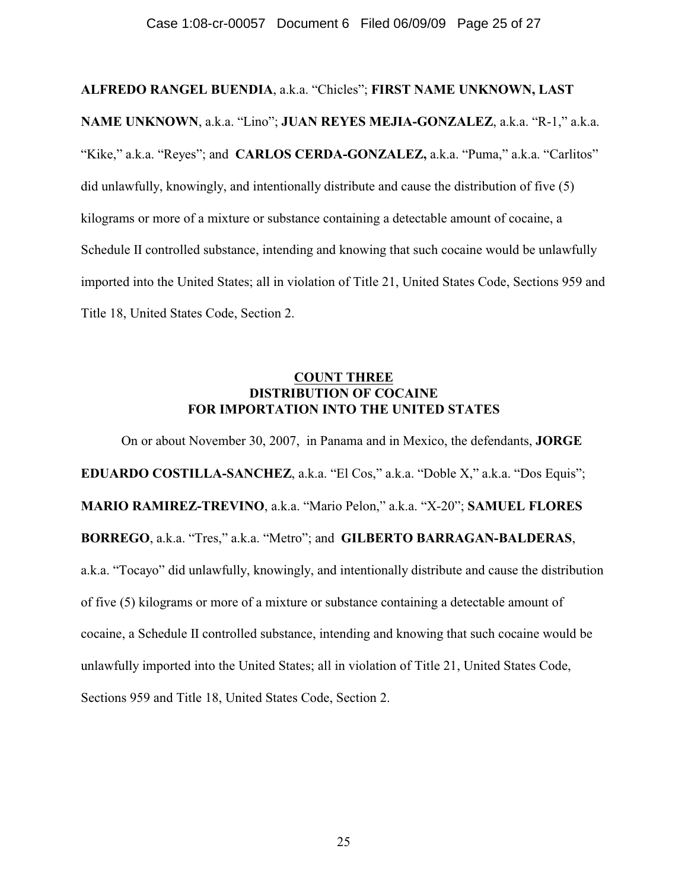**ALFREDO RANGEL BUENDIA**, a.k.a. "Chicles"; **FIRST NAME UNKNOWN, LAST NAME UNKNOWN**, a.k.a. "Lino"; **JUAN REYES MEJIA-GONZALEZ**, a.k.a. "R-1," a.k.a. "Kike," a.k.a. "Reyes"; and **CARLOS CERDA-GONZALEZ,** a.k.a. "Puma," a.k.a. "Carlitos" did unlawfully, knowingly, and intentionally distribute and cause the distribution of five (5) kilograms or more of a mixture or substance containing a detectable amount of cocaine, a Schedule II controlled substance, intending and knowing that such cocaine would be unlawfully imported into the United States; all in violation of Title 21, United States Code, Sections 959 and Title 18, United States Code, Section 2.

## **COUNT THREE DISTRIBUTION OF COCAINE FOR IMPORTATION INTO THE UNITED STATES**

On or about November 30, 2007, in Panama and in Mexico, the defendants, **JORGE EDUARDO COSTILLA-SANCHEZ**, a.k.a. "El Cos," a.k.a. "Doble X," a.k.a. "Dos Equis"; **MARIO RAMIREZ-TREVINO**, a.k.a. "Mario Pelon," a.k.a. "X-20"; **SAMUEL FLORES BORREGO**, a.k.a. "Tres," a.k.a. "Metro"; and **GILBERTO BARRAGAN-BALDERAS**, a.k.a. "Tocayo" did unlawfully, knowingly, and intentionally distribute and cause the distribution of five (5) kilograms or more of a mixture or substance containing a detectable amount of cocaine, a Schedule II controlled substance, intending and knowing that such cocaine would be unlawfully imported into the United States; all in violation of Title 21, United States Code, Sections 959 and Title 18, United States Code, Section 2.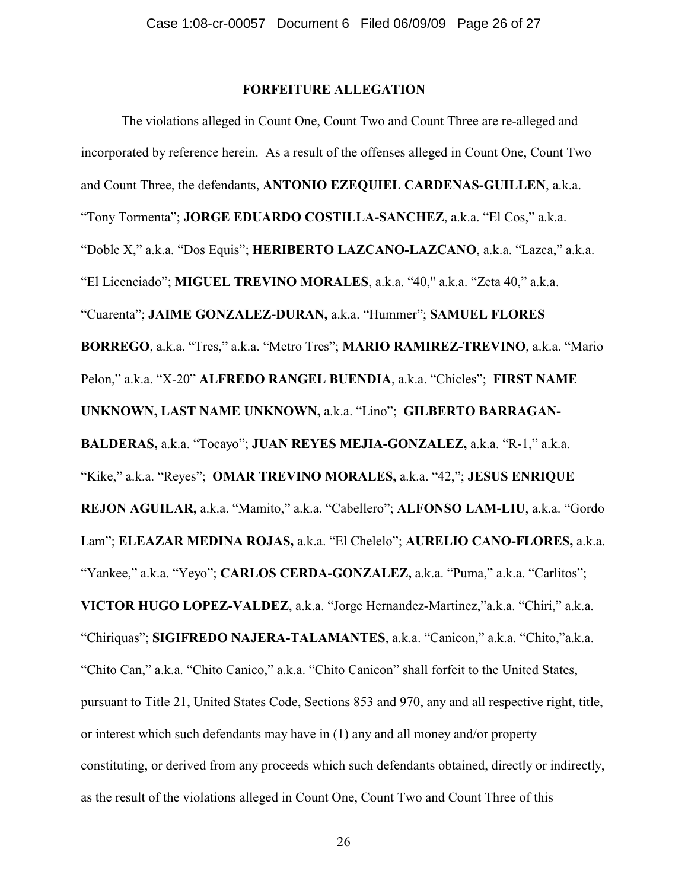### **FORFEITURE ALLEGATION**

The violations alleged in Count One, Count Two and Count Three are re-alleged and incorporated by reference herein. As a result of the offenses alleged in Count One, Count Two and Count Three, the defendants, **ANTONIO EZEQUIEL CARDENAS-GUILLEN**, a.k.a. "Tony Tormenta"; **JORGE EDUARDO COSTILLA-SANCHEZ**, a.k.a. "El Cos," a.k.a. "Doble X," a.k.a. "Dos Equis"; **HERIBERTO LAZCANO-LAZCANO**, a.k.a. "Lazca," a.k.a. "El Licenciado"; **MIGUEL TREVINO MORALES**, a.k.a. "40," a.k.a. "Zeta 40," a.k.a. "Cuarenta"; **JAIME GONZALEZ-DURAN,** a.k.a. "Hummer"; **SAMUEL FLORES BORREGO**, a.k.a. "Tres," a.k.a. "Metro Tres"; **MARIO RAMIREZ-TREVINO**, a.k.a. "Mario Pelon," a.k.a. "X-20" **ALFREDO RANGEL BUENDIA**, a.k.a. "Chicles"; **FIRST NAME UNKNOWN, LAST NAME UNKNOWN,** a.k.a. "Lino"; **GILBERTO BARRAGAN-BALDERAS,** a.k.a. "Tocayo"; **JUAN REYES MEJIA-GONZALEZ,** a.k.a. "R-1," a.k.a. "Kike," a.k.a. "Reyes"; **OMAR TREVINO MORALES,** a.k.a. "42,"; **JESUS ENRIQUE REJON AGUILAR,** a.k.a. "Mamito," a.k.a. "Cabellero"; **ALFONSO LAM-LIU**, a.k.a. "Gordo Lam"; **ELEAZAR MEDINA ROJAS,** a.k.a. "El Chelelo"; **AURELIO CANO-FLORES,** a.k.a. "Yankee," a.k.a. "Yeyo"; **CARLOS CERDA-GONZALEZ,** a.k.a. "Puma," a.k.a. "Carlitos"; **VICTOR HUGO LOPEZ-VALDEZ**, a.k.a. "Jorge Hernandez-Martinez,"a.k.a. "Chiri," a.k.a. "Chiriquas"; **SIGIFREDO NAJERA-TALAMANTES**, a.k.a. "Canicon," a.k.a. "Chito,"a.k.a. "Chito Can," a.k.a. "Chito Canico," a.k.a. "Chito Canicon" shall forfeit to the United States, pursuant to Title 21, United States Code, Sections 853 and 970, any and all respective right, title, or interest which such defendants may have in (1) any and all money and/or property constituting, or derived from any proceeds which such defendants obtained, directly or indirectly, as the result of the violations alleged in Count One, Count Two and Count Three of this